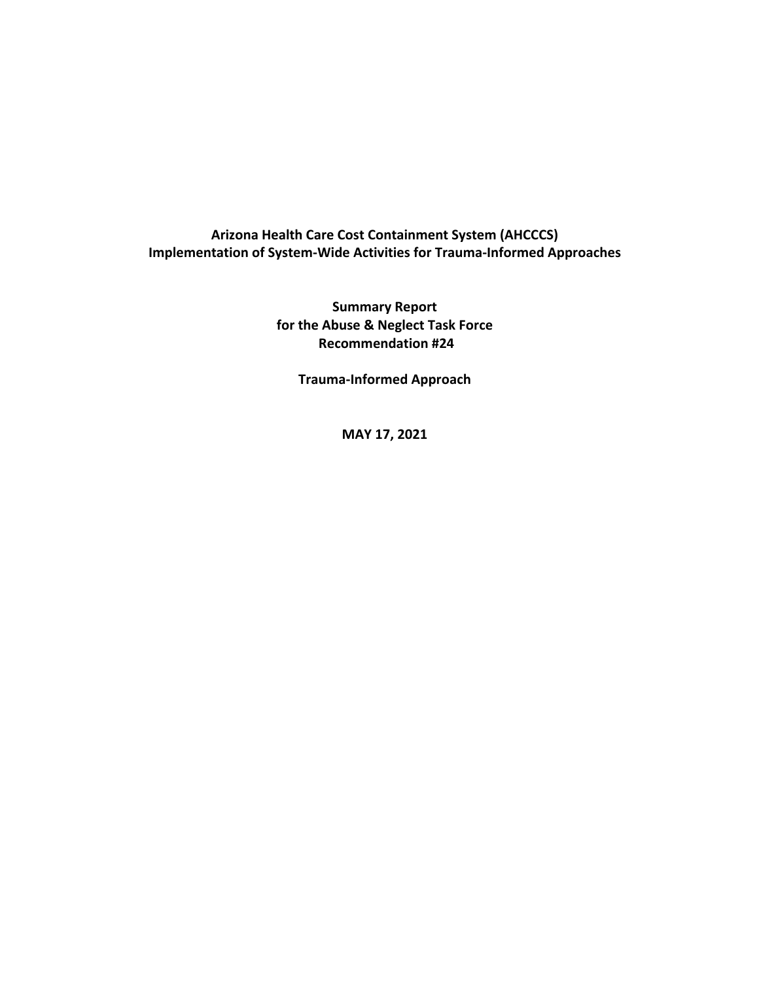## **Arizona Health Care Cost Containment System (AHCCCS) Implementation of System-Wide Activities for Trauma-Informed Approaches**

**Summary Report for the Abuse & Neglect Task Force Recommendation #24** 

**Trauma-Informed Approach** 

**MAY 17, 2021**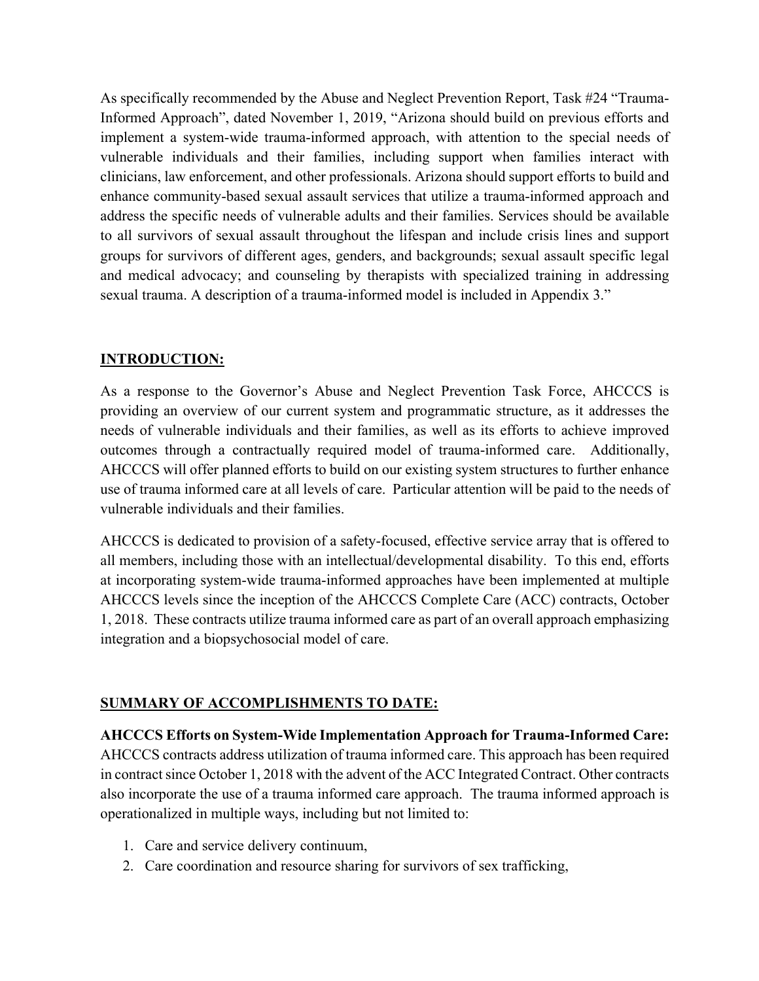As specifically recommended by the Abuse and Neglect Prevention Report, Task #24 "Trauma-Informed Approach", dated November 1, 2019, "Arizona should build on previous efforts and implement a system-wide trauma-informed approach, with attention to the special needs of vulnerable individuals and their families, including support when families interact with clinicians, law enforcement, and other professionals. Arizona should support efforts to build and enhance community-based sexual assault services that utilize a trauma-informed approach and address the specific needs of vulnerable adults and their families. Services should be available to all survivors of sexual assault throughout the lifespan and include crisis lines and support groups for survivors of different ages, genders, and backgrounds; sexual assault specific legal and medical advocacy; and counseling by therapists with specialized training in addressing sexual trauma. A description of a trauma-informed model is included in Appendix 3."

## **INTRODUCTION:**

As a response to the Governor's Abuse and Neglect Prevention Task Force, AHCCCS is providing an overview of our current system and programmatic structure, as it addresses the needs of vulnerable individuals and their families, as well as its efforts to achieve improved outcomes through a contractually required model of trauma-informed care. Additionally, AHCCCS will offer planned efforts to build on our existing system structures to further enhance use of trauma informed care at all levels of care. Particular attention will be paid to the needs of vulnerable individuals and their families.

AHCCCS is dedicated to provision of a safety-focused, effective service array that is offered to all members, including those with an intellectual/developmental disability. To this end, efforts at incorporating system-wide trauma-informed approaches have been implemented at multiple AHCCCS levels since the inception of the AHCCCS Complete Care (ACC) contracts, October 1, 2018. These contracts utilize trauma informed care as part of an overall approach emphasizing integration and a biopsychosocial model of care.

## **SUMMARY OF ACCOMPLISHMENTS TO DATE:**

**AHCCCS Efforts on System-Wide Implementation Approach for Trauma-Informed Care:** AHCCCS contracts address utilization of trauma informed care. This approach has been required in contract since October 1, 2018 with the advent of the ACC Integrated Contract. Other contracts also incorporate the use of a trauma informed care approach. The trauma informed approach is operationalized in multiple ways, including but not limited to:

- 1. Care and service delivery continuum,
- 2. Care coordination and resource sharing for survivors of sex trafficking,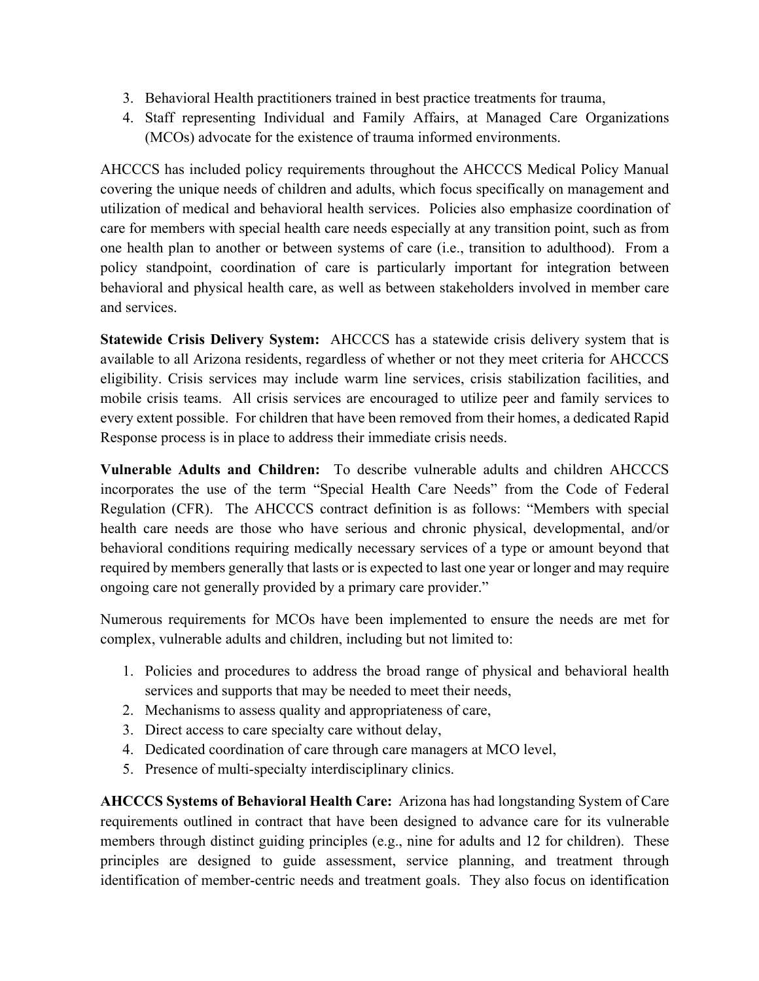- 3. Behavioral Health practitioners trained in best practice treatments for trauma,
- 4. Staff representing Individual and Family Affairs, at Managed Care Organizations (MCOs) advocate for the existence of trauma informed environments.

AHCCCS has included policy requirements throughout the AHCCCS Medical Policy Manual covering the unique needs of children and adults, which focus specifically on management and utilization of medical and behavioral health services. Policies also emphasize coordination of care for members with special health care needs especially at any transition point, such as from one health plan to another or between systems of care (i.e., transition to adulthood). From a policy standpoint, coordination of care is particularly important for integration between behavioral and physical health care, as well as between stakeholders involved in member care and services.

**Statewide Crisis Delivery System:** AHCCCS has a statewide crisis delivery system that is available to all Arizona residents, regardless of whether or not they meet criteria for AHCCCS eligibility. Crisis services may include warm line services, crisis stabilization facilities, and mobile crisis teams. All crisis services are encouraged to utilize peer and family services to every extent possible. For children that have been removed from their homes, a dedicated Rapid Response process is in place to address their immediate crisis needs.

**Vulnerable Adults and Children:** To describe vulnerable adults and children AHCCCS incorporates the use of the term "Special Health Care Needs" from the Code of Federal Regulation (CFR). The AHCCCS contract definition is as follows: "Members with special health care needs are those who have serious and chronic physical, developmental, and/or behavioral conditions requiring medically necessary services of a type or amount beyond that required by members generally that lasts or is expected to last one year or longer and may require ongoing care not generally provided by a primary care provider."

Numerous requirements for MCOs have been implemented to ensure the needs are met for complex, vulnerable adults and children, including but not limited to:

- 1. Policies and procedures to address the broad range of physical and behavioral health services and supports that may be needed to meet their needs,
- 2. Mechanisms to assess quality and appropriateness of care,
- 3. Direct access to care specialty care without delay,
- 4. Dedicated coordination of care through care managers at MCO level,
- 5. Presence of multi-specialty interdisciplinary clinics.

**AHCCCS Systems of Behavioral Health Care:** Arizona has had longstanding System of Care requirements outlined in contract that have been designed to advance care for its vulnerable members through distinct guiding principles (e.g., nine for adults and 12 for children). These principles are designed to guide assessment, service planning, and treatment through identification of member-centric needs and treatment goals. They also focus on identification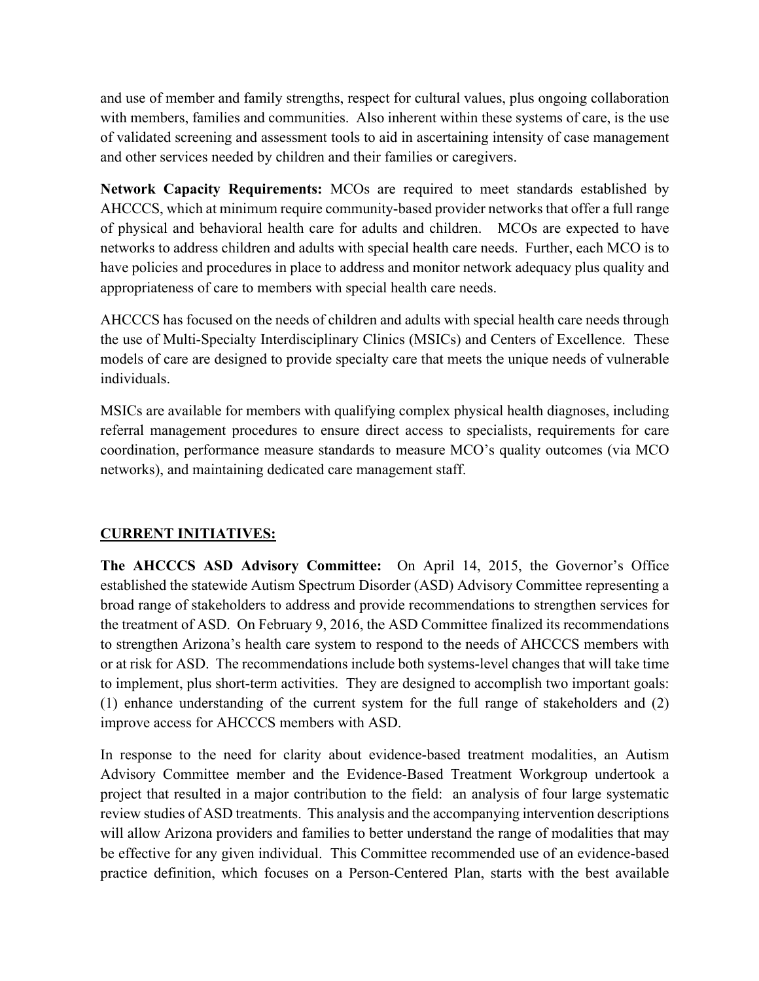and use of member and family strengths, respect for cultural values, plus ongoing collaboration with members, families and communities. Also inherent within these systems of care, is the use of validated screening and assessment tools to aid in ascertaining intensity of case management and other services needed by children and their families or caregivers.

**Network Capacity Requirements:** MCOs are required to meet standards established by AHCCCS, which at minimum require community-based provider networks that offer a full range of physical and behavioral health care for adults and children. MCOs are expected to have networks to address children and adults with special health care needs. Further, each MCO is to have policies and procedures in place to address and monitor network adequacy plus quality and appropriateness of care to members with special health care needs.

AHCCCS has focused on the needs of children and adults with special health care needs through the use of Multi-Specialty Interdisciplinary Clinics (MSICs) and Centers of Excellence. These models of care are designed to provide specialty care that meets the unique needs of vulnerable individuals.

MSICs are available for members with qualifying complex physical health diagnoses, including referral management procedures to ensure direct access to specialists, requirements for care coordination, performance measure standards to measure MCO's quality outcomes (via MCO networks), and maintaining dedicated care management staff.

## **CURRENT INITIATIVES:**

**The AHCCCS ASD Advisory Committee:** On April 14, 2015, the Governor's Office established the statewide Autism Spectrum Disorder (ASD) Advisory Committee representing a broad range of stakeholders to address and provide recommendations to strengthen services for the treatment of ASD. On February 9, 2016, the ASD Committee finalized its recommendations to strengthen Arizona's health care system to respond to the needs of AHCCCS members with or at risk for ASD. The recommendations include both systems-level changes that will take time to implement, plus short-term activities. They are designed to accomplish two important goals: (1) enhance understanding of the current system for the full range of stakeholders and (2) improve access for AHCCCS members with ASD.

In response to the need for clarity about evidence-based treatment modalities, an Autism Advisory Committee member and the Evidence-Based Treatment Workgroup undertook a project that resulted in a major contribution to the field: an analysis of four large systematic review studies of ASD treatments. This analysis and the accompanying intervention descriptions will allow Arizona providers and families to better understand the range of modalities that may be effective for any given individual. This Committee recommended use of an evidence-based practice definition, which focuses on a Person-Centered Plan, starts with the best available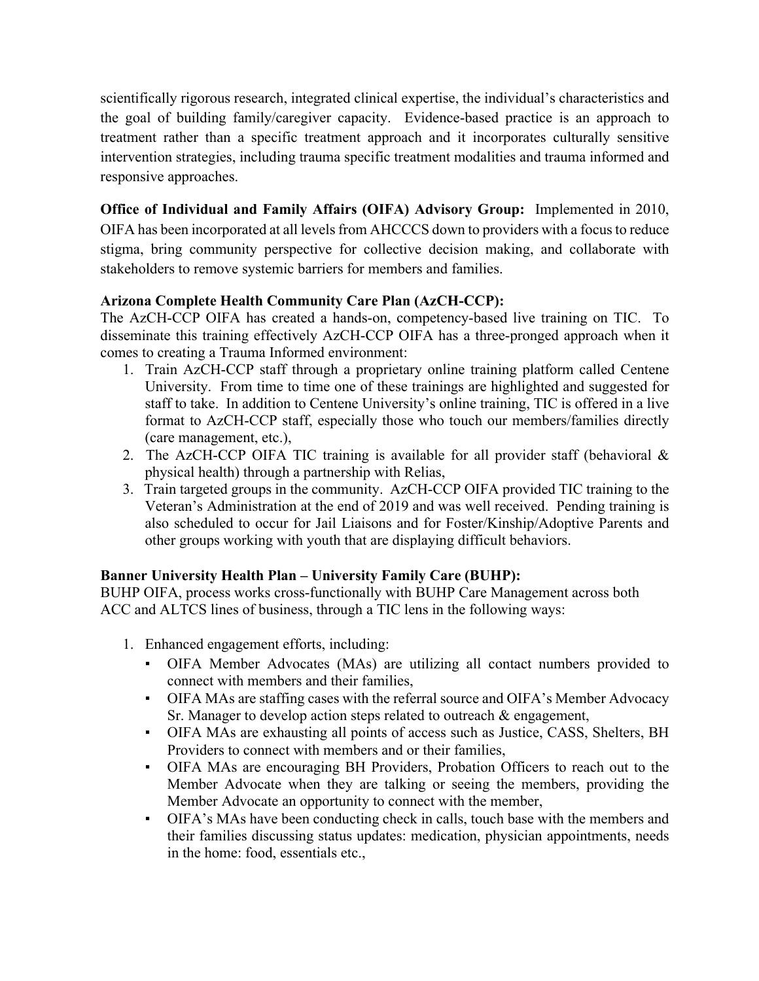scientifically rigorous research, integrated clinical expertise, the individual's characteristics and the goal of building family/caregiver capacity. Evidence-based practice is an approach to treatment rather than a specific treatment approach and it incorporates culturally sensitive intervention strategies, including trauma specific treatment modalities and trauma informed and responsive approaches.

**Office of Individual and Family Affairs (OIFA) Advisory Group:** Implemented in 2010, OIFA has been incorporated at all levels from AHCCCS down to providers with a focus to reduce stigma, bring community perspective for collective decision making, and collaborate with stakeholders to remove systemic barriers for members and families.

# **Arizona Complete Health Community Care Plan (AzCH-CCP):**

The AzCH-CCP OIFA has created a hands-on, competency-based live training on TIC. To disseminate this training effectively AzCH-CCP OIFA has a three-pronged approach when it comes to creating a Trauma Informed environment:

- 1. Train AzCH-CCP staff through a proprietary online training platform called Centene University. From time to time one of these trainings are highlighted and suggested for staff to take. In addition to Centene University's online training, TIC is offered in a live format to AzCH-CCP staff, especially those who touch our members/families directly (care management, etc.),
- 2. The AzCH-CCP OIFA TIC training is available for all provider staff (behavioral & physical health) through a partnership with Relias,
- 3. Train targeted groups in the community. AzCH-CCP OIFA provided TIC training to the Veteran's Administration at the end of 2019 and was well received. Pending training is also scheduled to occur for Jail Liaisons and for Foster/Kinship/Adoptive Parents and other groups working with youth that are displaying difficult behaviors.

# **Banner University Health Plan – University Family Care (BUHP):**

BUHP OIFA, process works cross-functionally with BUHP Care Management across both ACC and ALTCS lines of business, through a TIC lens in the following ways:

- 1. Enhanced engagement efforts, including:
	- OIFA Member Advocates (MAs) are utilizing all contact numbers provided to connect with members and their families,
	- OIFA MAs are staffing cases with the referral source and OIFA's Member Advocacy Sr. Manager to develop action steps related to outreach & engagement,
	- OIFA MAs are exhausting all points of access such as Justice, CASS, Shelters, BH Providers to connect with members and or their families,
	- OIFA MAs are encouraging BH Providers, Probation Officers to reach out to the Member Advocate when they are talking or seeing the members, providing the Member Advocate an opportunity to connect with the member,
	- OIFA's MAs have been conducting check in calls, touch base with the members and their families discussing status updates: medication, physician appointments, needs in the home: food, essentials etc.,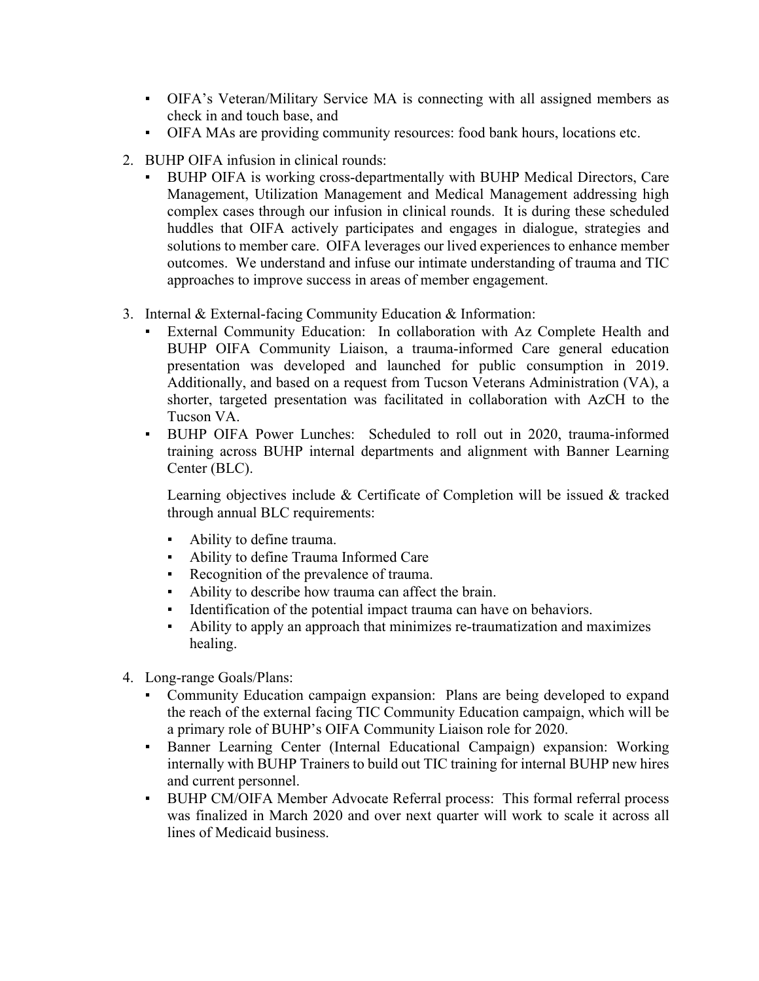- OIFA's Veteran/Military Service MA is connecting with all assigned members as check in and touch base, and
- OIFA MAs are providing community resources: food bank hours, locations etc.
- 2. BUHP OIFA infusion in clinical rounds:
	- BUHP OIFA is working cross-departmentally with BUHP Medical Directors, Care Management, Utilization Management and Medical Management addressing high complex cases through our infusion in clinical rounds. It is during these scheduled huddles that OIFA actively participates and engages in dialogue, strategies and solutions to member care. OIFA leverages our lived experiences to enhance member outcomes. We understand and infuse our intimate understanding of trauma and TIC approaches to improve success in areas of member engagement.
- 3. Internal & External-facing Community Education & Information:
	- External Community Education: In collaboration with Az Complete Health and BUHP OIFA Community Liaison, a trauma-informed Care general education presentation was developed and launched for public consumption in 2019. Additionally, and based on a request from Tucson Veterans Administration (VA), a shorter, targeted presentation was facilitated in collaboration with AzCH to the Tucson VA.
	- BUHP OIFA Power Lunches: Scheduled to roll out in 2020, trauma-informed training across BUHP internal departments and alignment with Banner Learning Center (BLC).

Learning objectives include & Certificate of Completion will be issued & tracked through annual BLC requirements:

- Ability to define trauma.
- Ability to define Trauma Informed Care
- Recognition of the prevalence of trauma.
- Ability to describe how trauma can affect the brain.
- Identification of the potential impact trauma can have on behaviors.
- Ability to apply an approach that minimizes re-traumatization and maximizes healing.
- 4. Long-range Goals/Plans:
	- Community Education campaign expansion: Plans are being developed to expand the reach of the external facing TIC Community Education campaign, which will be a primary role of BUHP's OIFA Community Liaison role for 2020.
	- **•** Banner Learning Center (Internal Educational Campaign) expansion: Working internally with BUHP Trainers to build out TIC training for internal BUHP new hires and current personnel.
	- BUHP CM/OIFA Member Advocate Referral process: This formal referral process was finalized in March 2020 and over next quarter will work to scale it across all lines of Medicaid business.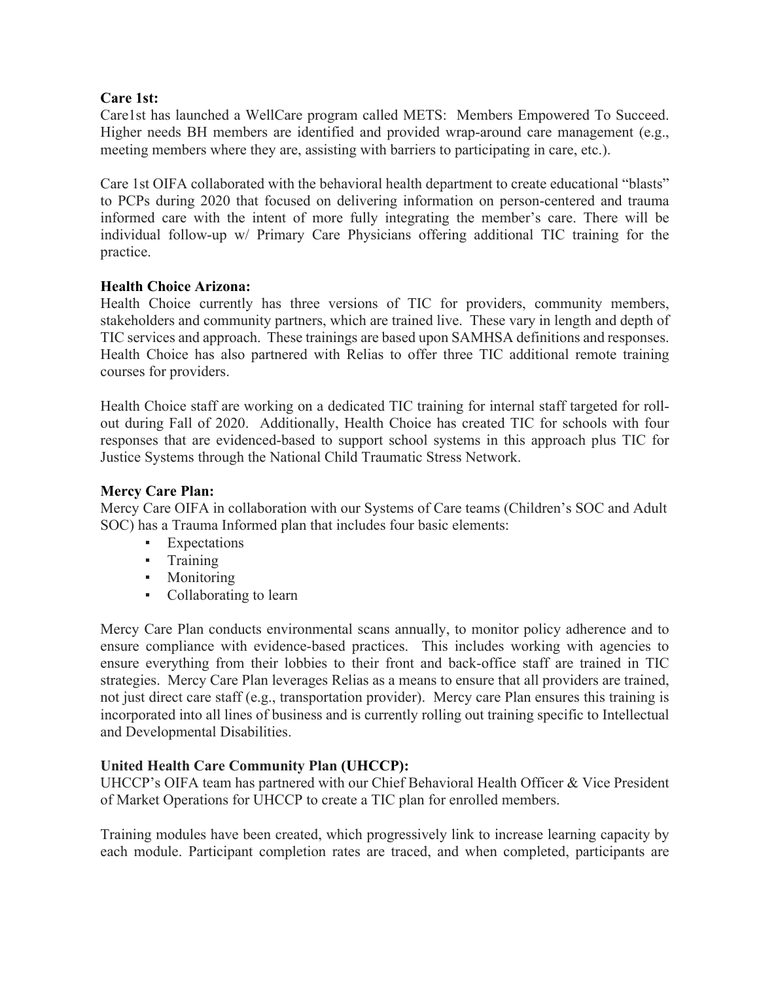### **Care 1st:**

Care1st has launched a WellCare program called METS: Members Empowered To Succeed. Higher needs BH members are identified and provided wrap-around care management (e.g., meeting members where they are, assisting with barriers to participating in care, etc.).

Care 1st OIFA collaborated with the behavioral health department to create educational "blasts" to PCPs during 2020 that focused on delivering information on person-centered and trauma informed care with the intent of more fully integrating the member's care. There will be individual follow-up w/ Primary Care Physicians offering additional TIC training for the practice.

### **Health Choice Arizona:**

Health Choice currently has three versions of TIC for providers, community members, stakeholders and community partners, which are trained live. These vary in length and depth of TIC services and approach. These trainings are based upon SAMHSA definitions and responses. Health Choice has also partnered with Relias to offer three TIC additional remote training courses for providers.

Health Choice staff are working on a dedicated TIC training for internal staff targeted for rollout during Fall of 2020. Additionally, Health Choice has created TIC for schools with four responses that are evidenced-based to support school systems in this approach plus TIC for Justice Systems through the National Child Traumatic Stress Network.

#### **Mercy Care Plan:**

Mercy Care OIFA in collaboration with our Systems of Care teams (Children's SOC and Adult SOC) has a Trauma Informed plan that includes four basic elements:

- **Expectations**
- Training
- Monitoring
- Collaborating to learn

Mercy Care Plan conducts environmental scans annually, to monitor policy adherence and to ensure compliance with evidence-based practices. This includes working with agencies to ensure everything from their lobbies to their front and back-office staff are trained in TIC strategies. Mercy Care Plan leverages Relias as a means to ensure that all providers are trained, not just direct care staff (e.g., transportation provider). Mercy care Plan ensures this training is incorporated into all lines of business and is currently rolling out training specific to Intellectual and Developmental Disabilities.

#### **United Health Care Community Plan (UHCCP):**

UHCCP's OIFA team has partnered with our Chief Behavioral Health Officer & Vice President of Market Operations for UHCCP to create a TIC plan for enrolled members.

Training modules have been created, which progressively link to increase learning capacity by each module. Participant completion rates are traced, and when completed, participants are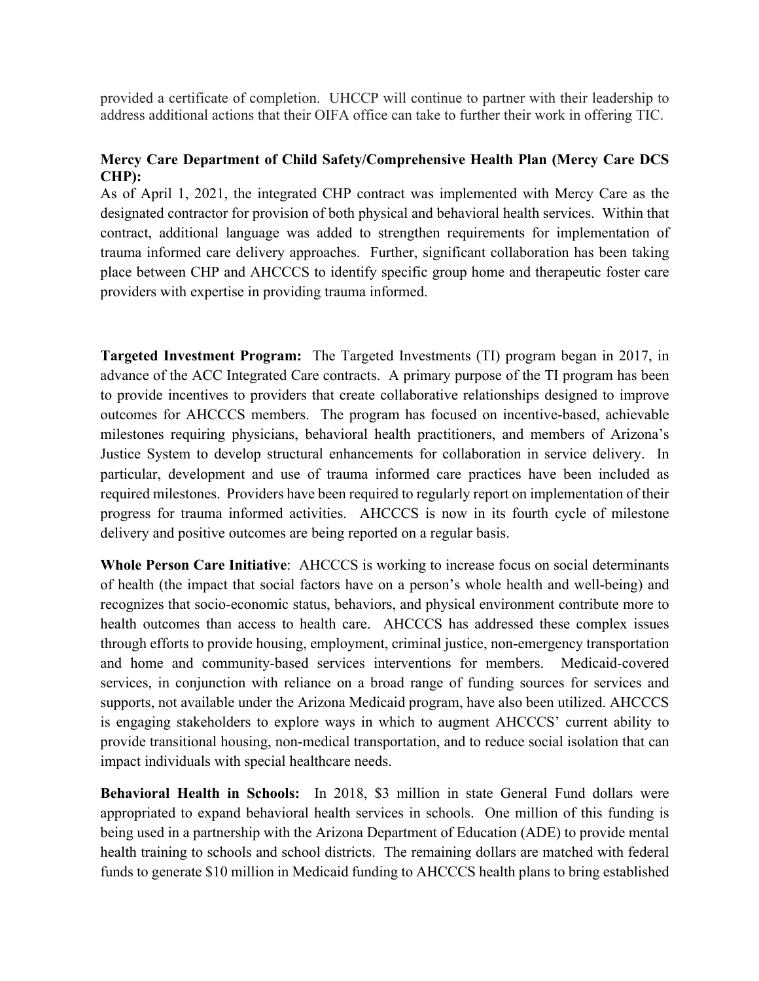provided a certificate of completion. UHCCP will continue to partner with their leadership to address additional actions that their OIFA office can take to further their work in offering TIC.

## **Mercy Care Department of Child Safety/Comprehensive Health Plan (Mercy Care DCS CHP):**

As of April 1, 2021, the integrated CHP contract was implemented with Mercy Care as the designated contractor for provision of both physical and behavioral health services. Within that contract, additional language was added to strengthen requirements for implementation of trauma informed care delivery approaches. Further, significant collaboration has been taking place between CHP and AHCCCS to identify specific group home and therapeutic foster care providers with expertise in providing trauma informed.

**Targeted Investment Program:** The Targeted Investments (TI) program began in 2017, in advance of the ACC Integrated Care contracts. A primary purpose of the TI program has been to provide incentives to providers that create collaborative relationships designed to improve outcomes for AHCCCS members. The program has focused on incentive-based, achievable milestones requiring physicians, behavioral health practitioners, and members of Arizona's Justice System to develop structural enhancements for collaboration in service delivery. In particular, development and use of trauma informed care practices have been included as required milestones. Providers have been required to regularly report on implementation of their progress for trauma informed activities. AHCCCS is now in its fourth cycle of milestone delivery and positive outcomes are being reported on a regular basis.

**Whole Person Care Initiative**: AHCCCS is working to increase focus on social determinants of health (the impact that social factors have on a person's whole health and well-being) and recognizes that socio-economic status, behaviors, and physical environment contribute more to health outcomes than access to health care. AHCCCS has addressed these complex issues through efforts to provide housing, employment, criminal justice, non-emergency transportation and home and community-based services interventions for members. Medicaid-covered services, in conjunction with reliance on a broad range of funding sources for services and supports, not available under the Arizona Medicaid program, have also been utilized. AHCCCS is engaging stakeholders to explore ways in which to augment AHCCCS' current ability to provide transitional housing, non-medical transportation, and to reduce social isolation that can impact individuals with special healthcare needs.

**Behavioral Health in Schools:** In 2018, \$3 million in state General Fund dollars were appropriated to expand behavioral health services in schools. One million of this funding is being used in a partnership with the Arizona Department of Education (ADE) to provide mental health training to schools and school districts. The remaining dollars are matched with federal funds to generate \$10 million in Medicaid funding to AHCCCS health plans to bring established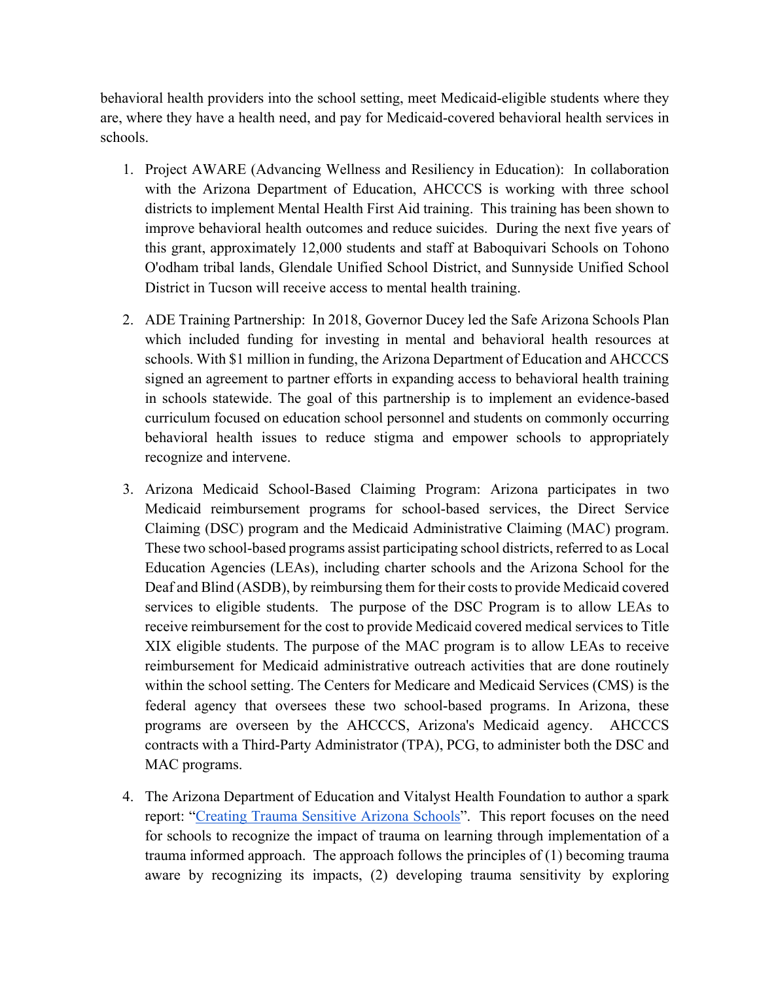behavioral health providers into the school setting, meet Medicaid-eligible students where they are, where they have a health need, and pay for Medicaid-covered behavioral health services in schools.

- 1. Project AWARE (Advancing Wellness and Resiliency in Education): In collaboration with the Arizona Department of Education, AHCCCS is working with three school districts to implement Mental Health First Aid training. This training has been shown to improve behavioral health outcomes and reduce suicides. During the next five years of this grant, approximately 12,000 students and staff at Baboquivari Schools on Tohono O'odham tribal lands, Glendale Unified School District, and Sunnyside Unified School District in Tucson will receive access to mental health training.
- 2. ADE Training Partnership: In 2018, Governor Ducey led the Safe Arizona Schools Plan which included funding for investing in mental and behavioral health resources at schools. With \$1 million in funding, the Arizona Department of Education and AHCCCS signed an agreement to partner efforts in expanding access to behavioral health training in schools statewide. The goal of this partnership is to implement an evidence-based curriculum focused on education school personnel and students on commonly occurring behavioral health issues to reduce stigma and empower schools to appropriately recognize and intervene.
- 3. Arizona Medicaid School-Based Claiming Program: Arizona participates in two Medicaid reimbursement programs for school-based services, the Direct Service Claiming (DSC) program and the Medicaid Administrative Claiming (MAC) program. These two school-based programs assist participating school districts, referred to as Local Education Agencies (LEAs), including charter schools and the Arizona School for the Deaf and Blind (ASDB), by reimbursing them for their costs to provide Medicaid covered services to eligible students. The purpose of the DSC Program is to allow LEAs to receive reimbursement for the cost to provide Medicaid covered medical services to Title XIX eligible students. The purpose of the MAC program is to allow LEAs to receive reimbursement for Medicaid administrative outreach activities that are done routinely within the school setting. The Centers for Medicare and Medicaid Services (CMS) is the federal agency that oversees these two school-based programs. In Arizona, these programs are overseen by the AHCCCS, Arizona's Medicaid agency. AHCCCS contracts with a Third-Party Administrator (TPA), PCG, to administer both the DSC and MAC programs.
- 4. The Arizona Department of Education and Vitalyst Health Foundation to author a spark report: ["Creating Trauma Sensitive Arizona Schools"](http://vitalysthealth.org/creating-trauma-sensitive-arizona-schools/). This report focuses on the need for schools to recognize the impact of trauma on learning through implementation of a trauma informed approach. The approach follows the principles of (1) becoming trauma aware by recognizing its impacts, (2) developing trauma sensitivity by exploring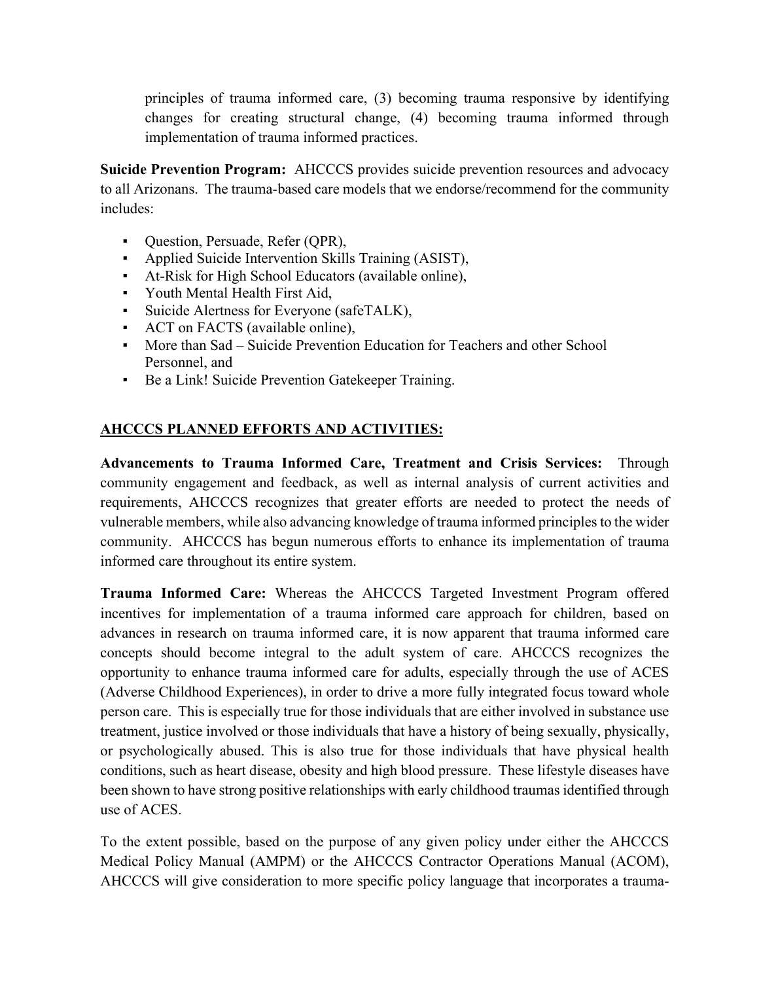principles of trauma informed care, (3) becoming trauma responsive by identifying changes for creating structural change, (4) becoming trauma informed through implementation of trauma informed practices.

**Suicide Prevention Program:** AHCCCS provides suicide prevention resources and advocacy to all Arizonans. The trauma-based care models that we endorse/recommend for the community includes:

- Question, Persuade, Refer (QPR),
- Applied Suicide Intervention Skills Training (ASIST),
- At-Risk for High School Educators (available online),
- Youth Mental Health First Aid,
- Suicide Alertness for Everyone (safeTALK),
- ACT on FACTS (available online),
- More than Sad Suicide Prevention Education for Teachers and other School Personnel, and
- Be a Link! Suicide Prevention Gatekeeper Training.

# **AHCCCS PLANNED EFFORTS AND ACTIVITIES:**

**Advancements to Trauma Informed Care, Treatment and Crisis Services:** Through community engagement and feedback, as well as internal analysis of current activities and requirements, AHCCCS recognizes that greater efforts are needed to protect the needs of vulnerable members, while also advancing knowledge of trauma informed principles to the wider community. AHCCCS has begun numerous efforts to enhance its implementation of trauma informed care throughout its entire system.

**Trauma Informed Care:** Whereas the AHCCCS Targeted Investment Program offered incentives for implementation of a trauma informed care approach for children, based on advances in research on trauma informed care, it is now apparent that trauma informed care concepts should become integral to the adult system of care. AHCCCS recognizes the opportunity to enhance trauma informed care for adults, especially through the use of ACES (Adverse Childhood Experiences), in order to drive a more fully integrated focus toward whole person care. This is especially true for those individuals that are either involved in substance use treatment, justice involved or those individuals that have a history of being sexually, physically, or psychologically abused. This is also true for those individuals that have physical health conditions, such as heart disease, obesity and high blood pressure. These lifestyle diseases have been shown to have strong positive relationships with early childhood traumas identified through use of ACES.

To the extent possible, based on the purpose of any given policy under either the AHCCCS Medical Policy Manual (AMPM) or the AHCCCS Contractor Operations Manual (ACOM), AHCCCS will give consideration to more specific policy language that incorporates a trauma-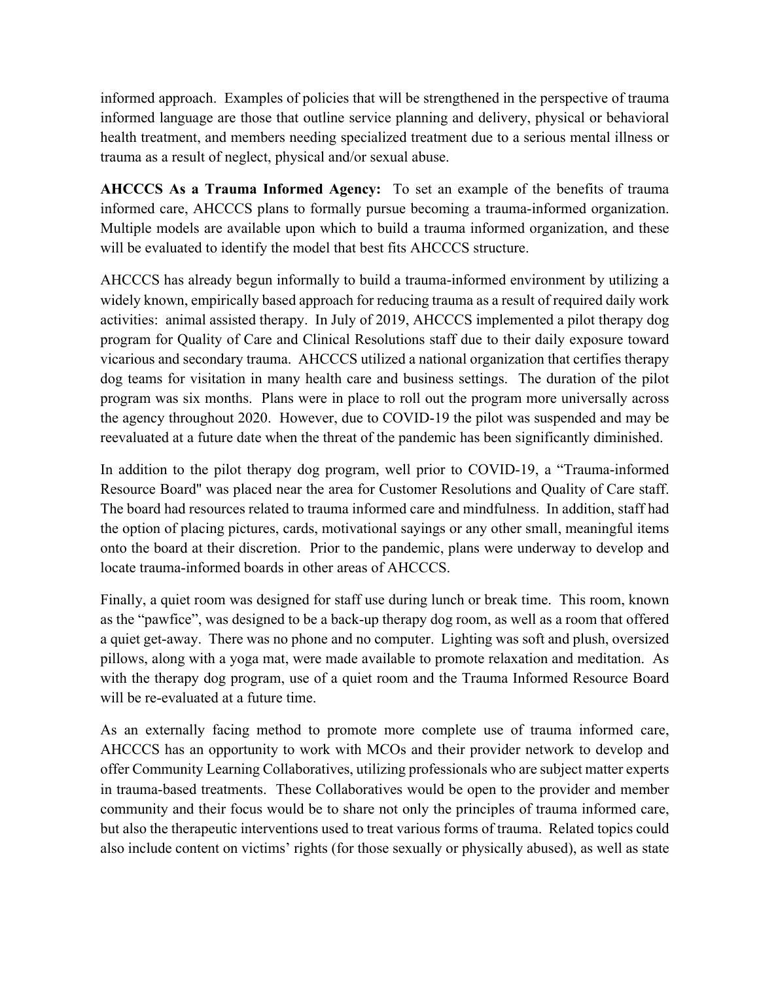informed approach. Examples of policies that will be strengthened in the perspective of trauma informed language are those that outline service planning and delivery, physical or behavioral health treatment, and members needing specialized treatment due to a serious mental illness or trauma as a result of neglect, physical and/or sexual abuse.

**AHCCCS As a Trauma Informed Agency:** To set an example of the benefits of trauma informed care, AHCCCS plans to formally pursue becoming a trauma-informed organization. Multiple models are available upon which to build a trauma informed organization, and these will be evaluated to identify the model that best fits AHCCCS structure.

AHCCCS has already begun informally to build a trauma-informed environment by utilizing a widely known, empirically based approach for reducing trauma as a result of required daily work activities: animal assisted therapy. In July of 2019, AHCCCS implemented a pilot therapy dog program for Quality of Care and Clinical Resolutions staff due to their daily exposure toward vicarious and secondary trauma. AHCCCS utilized a national organization that certifies therapy dog teams for visitation in many health care and business settings. The duration of the pilot program was six months. Plans were in place to roll out the program more universally across the agency throughout 2020. However, due to COVID-19 the pilot was suspended and may be reevaluated at a future date when the threat of the pandemic has been significantly diminished.

In addition to the pilot therapy dog program, well prior to COVID-19, a "Trauma-informed Resource Board'' was placed near the area for Customer Resolutions and Quality of Care staff. The board had resources related to trauma informed care and mindfulness. In addition, staff had the option of placing pictures, cards, motivational sayings or any other small, meaningful items onto the board at their discretion. Prior to the pandemic, plans were underway to develop and locate trauma-informed boards in other areas of AHCCCS.

Finally, a quiet room was designed for staff use during lunch or break time. This room, known as the "pawfice", was designed to be a back-up therapy dog room, as well as a room that offered a quiet get-away. There was no phone and no computer. Lighting was soft and plush, oversized pillows, along with a yoga mat, were made available to promote relaxation and meditation. As with the therapy dog program, use of a quiet room and the Trauma Informed Resource Board will be re-evaluated at a future time.

As an externally facing method to promote more complete use of trauma informed care, AHCCCS has an opportunity to work with MCOs and their provider network to develop and offer Community Learning Collaboratives, utilizing professionals who are subject matter experts in trauma-based treatments. These Collaboratives would be open to the provider and member community and their focus would be to share not only the principles of trauma informed care, but also the therapeutic interventions used to treat various forms of trauma. Related topics could also include content on victims' rights (for those sexually or physically abused), as well as state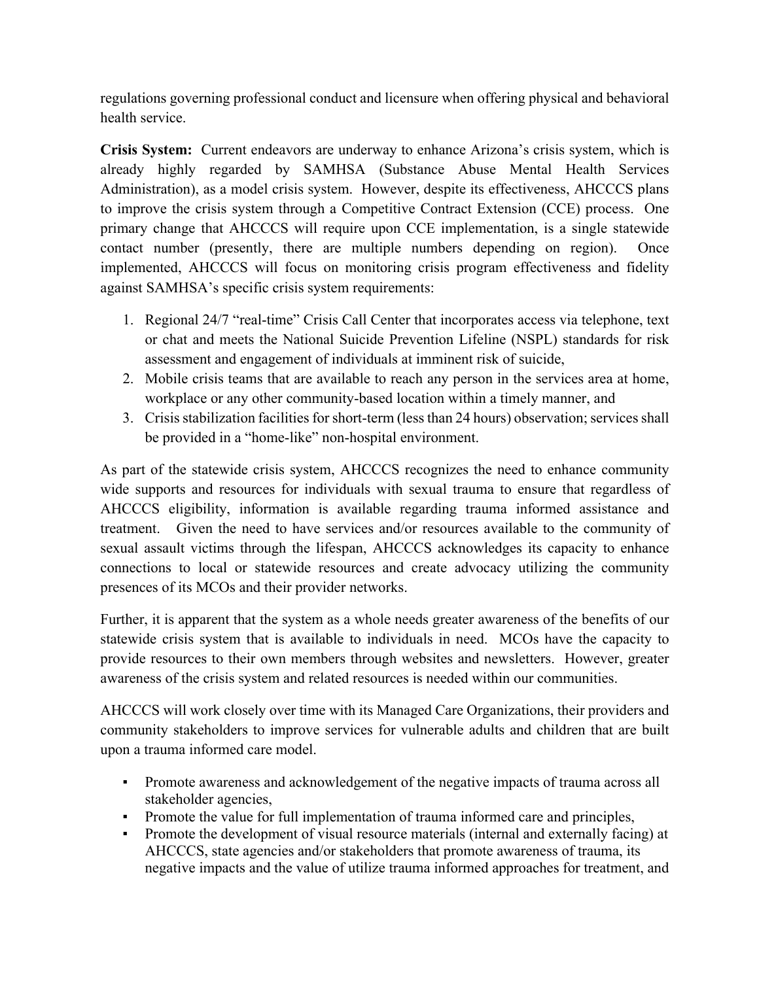regulations governing professional conduct and licensure when offering physical and behavioral health service.

**Crisis System:** Current endeavors are underway to enhance Arizona's crisis system, which is already highly regarded by SAMHSA (Substance Abuse Mental Health Services Administration), as a model crisis system. However, despite its effectiveness, AHCCCS plans to improve the crisis system through a Competitive Contract Extension (CCE) process. One primary change that AHCCCS will require upon CCE implementation, is a single statewide contact number (presently, there are multiple numbers depending on region). Once implemented, AHCCCS will focus on monitoring crisis program effectiveness and fidelity against SAMHSA's specific crisis system requirements:

- 1. Regional 24/7 "real-time" Crisis Call Center that incorporates access via telephone, text or chat and meets the National Suicide Prevention Lifeline (NSPL) standards for risk assessment and engagement of individuals at imminent risk of suicide,
- 2. Mobile crisis teams that are available to reach any person in the services area at home, workplace or any other community-based location within a timely manner, and
- 3. Crisis stabilization facilities for short-term (less than 24 hours) observation; services shall be provided in a "home-like" non-hospital environment.

As part of the statewide crisis system, AHCCCS recognizes the need to enhance community wide supports and resources for individuals with sexual trauma to ensure that regardless of AHCCCS eligibility, information is available regarding trauma informed assistance and treatment. Given the need to have services and/or resources available to the community of sexual assault victims through the lifespan, AHCCCS acknowledges its capacity to enhance connections to local or statewide resources and create advocacy utilizing the community presences of its MCOs and their provider networks.

Further, it is apparent that the system as a whole needs greater awareness of the benefits of our statewide crisis system that is available to individuals in need. MCOs have the capacity to provide resources to their own members through websites and newsletters. However, greater awareness of the crisis system and related resources is needed within our communities.

AHCCCS will work closely over time with its Managed Care Organizations, their providers and community stakeholders to improve services for vulnerable adults and children that are built upon a trauma informed care model.

- **•** Promote awareness and acknowledgement of the negative impacts of trauma across all stakeholder agencies,
- Promote the value for full implementation of trauma informed care and principles,
- Promote the development of visual resource materials (internal and externally facing) at AHCCCS, state agencies and/or stakeholders that promote awareness of trauma, its negative impacts and the value of utilize trauma informed approaches for treatment, and